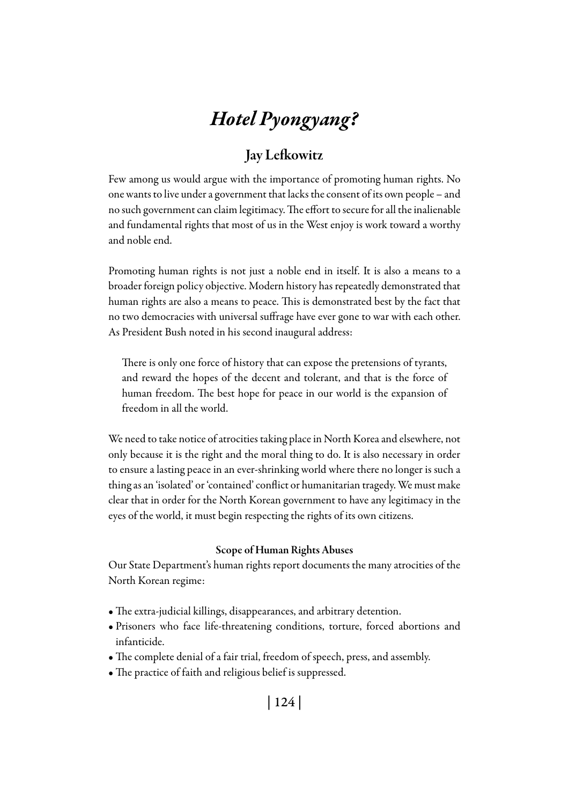# *Hotel Pyongyang?*

## Jay Lefkowitz

Few among us would argue with the importance of promoting human rights. No one wants to live under a government that lacks the consent of its own people – and no such government can claim legitimacy. The effort to secure for all the inalienable and fundamental rights that most of us in the West enjoy is work toward a worthy and noble end.

Promoting human rights is not just a noble end in itself. It is also a means to a broader foreign policy objective. Modern history has repeatedly demonstrated that human rights are also a means to peace. This is demonstrated best by the fact that no two democracies with universal suffrage have ever gone to war with each other. As President Bush noted in his second inaugural address:

There is only one force of history that can expose the pretensions of tyrants, and reward the hopes of the decent and tolerant, and that is the force of human freedom. The best hope for peace in our world is the expansion of freedom in all the world.

We need to take notice of atrocities taking place in North Korea and elsewhere, not only because it is the right and the moral thing to do. It is also necessary in order to ensure a lasting peace in an ever-shrinking world where there no longer is such a thing as an 'isolated' or 'contained' conflict or humanitarian tragedy. We must make clear that in order for the North Korean government to have any legitimacy in the eyes of the world, it must begin respecting the rights of its own citizens.

#### Scope of Human Rights Abuses

Our State Department's human rights report documents the many atrocities of the North Korean regime:

- The extra-judicial killings, disappearances, and arbitrary detention.
- Prisoners who face life-threatening conditions, torture, forced abortions and infanticide.
- The complete denial of a fair trial, freedom of speech, press, and assembly.
- The practice of faith and religious belief is suppressed.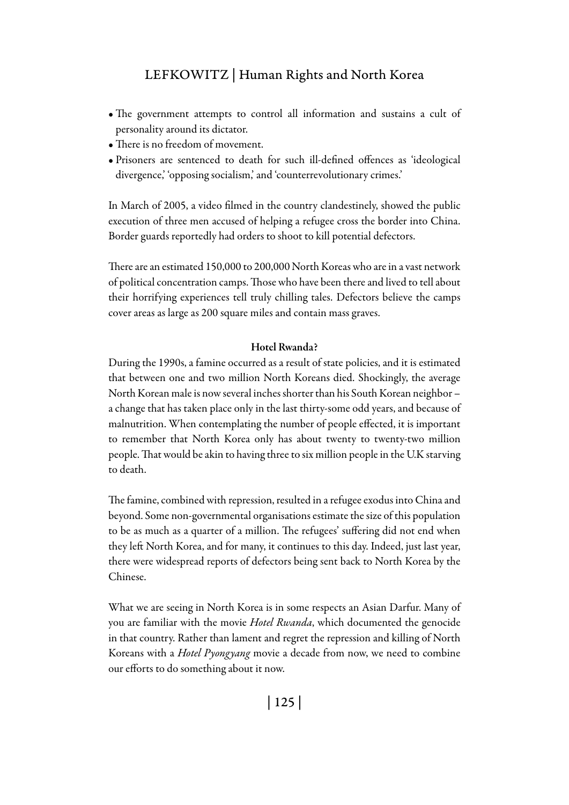## Lefkowitz | Human Rights and North Korea

- The government attempts to control all information and sustains a cult of personality around its dictator.
- There is no freedom of movement.
- Prisoners are sentenced to death for such ill-defined offences as 'ideological divergence,' 'opposing socialism,' and 'counterrevolutionary crimes.'

In March of 2005, a video filmed in the country clandestinely, showed the public execution of three men accused of helping a refugee cross the border into China. Border guards reportedly had orders to shoot to kill potential defectors.

There are an estimated 150,000 to 200,000 North Koreas who are in a vast network of political concentration camps. Those who have been there and lived to tell about their horrifying experiences tell truly chilling tales. Defectors believe the camps cover areas as large as 200 square miles and contain mass graves.

#### Hotel Rwanda?

During the 1990s, a famine occurred as a result of state policies, and it is estimated that between one and two million North Koreans died. Shockingly, the average North Korean male is now several inches shorter than his South Korean neighbor – a change that has taken place only in the last thirty-some odd years, and because of malnutrition. When contemplating the number of people effected, it is important to remember that North Korea only has about twenty to twenty-two million people. That would be akin to having three to six million people in the U.K starving to death.

The famine, combined with repression, resulted in a refugee exodus into China and beyond. Some non-governmental organisations estimate the size of this population to be as much as a quarter of a million. The refugees' suffering did not end when they left North Korea, and for many, it continues to this day. Indeed, just last year, there were widespread reports of defectors being sent back to North Korea by the Chinese.

What we are seeing in North Korea is in some respects an Asian Darfur. Many of you are familiar with the movie *Hotel Rwanda*, which documented the genocide in that country. Rather than lament and regret the repression and killing of North Koreans with a *Hotel Pyongyang* movie a decade from now, we need to combine our efforts to do something about it now.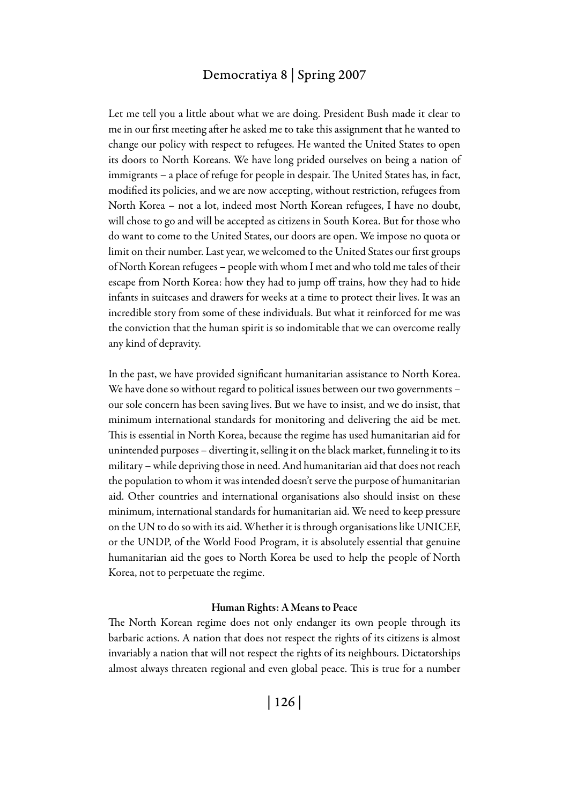### Democratiya 8 | Spring 2007

Let me tell you a little about what we are doing. President Bush made it clear to me in our first meeting after he asked me to take this assignment that he wanted to change our policy with respect to refugees. He wanted the United States to open its doors to North Koreans. We have long prided ourselves on being a nation of immigrants – a place of refuge for people in despair. The United States has, in fact, modified its policies, and we are now accepting, without restriction, refugees from North Korea – not a lot, indeed most North Korean refugees, I have no doubt, will chose to go and will be accepted as citizens in South Korea. But for those who do want to come to the United States, our doors are open. We impose no quota or limit on their number. Last year, we welcomed to the United States our first groups of North Korean refugees – people with whom I met and who told me tales of their escape from North Korea: how they had to jump off trains, how they had to hide infants in suitcases and drawers for weeks at a time to protect their lives. It was an incredible story from some of these individuals. But what it reinforced for me was the conviction that the human spirit is so indomitable that we can overcome really any kind of depravity.

In the past, we have provided significant humanitarian assistance to North Korea. We have done so without regard to political issues between our two governments – our sole concern has been saving lives. But we have to insist, and we do insist, that minimum international standards for monitoring and delivering the aid be met. This is essential in North Korea, because the regime has used humanitarian aid for unintended purposes – diverting it, selling it on the black market, funneling it to its military – while depriving those in need. And humanitarian aid that does not reach the population to whom it was intended doesn't serve the purpose of humanitarian aid. Other countries and international organisations also should insist on these minimum, international standards for humanitarian aid. We need to keep pressure on the UN to do so with its aid. Whether it is through organisations like UNICEF, or the UNDP, of the World Food Program, it is absolutely essential that genuine humanitarian aid the goes to North Korea be used to help the people of North Korea, not to perpetuate the regime.

#### Human Rights: A Means to Peace

The North Korean regime does not only endanger its own people through its barbaric actions. A nation that does not respect the rights of its citizens is almost invariably a nation that will not respect the rights of its neighbours. Dictatorships almost always threaten regional and even global peace. This is true for a number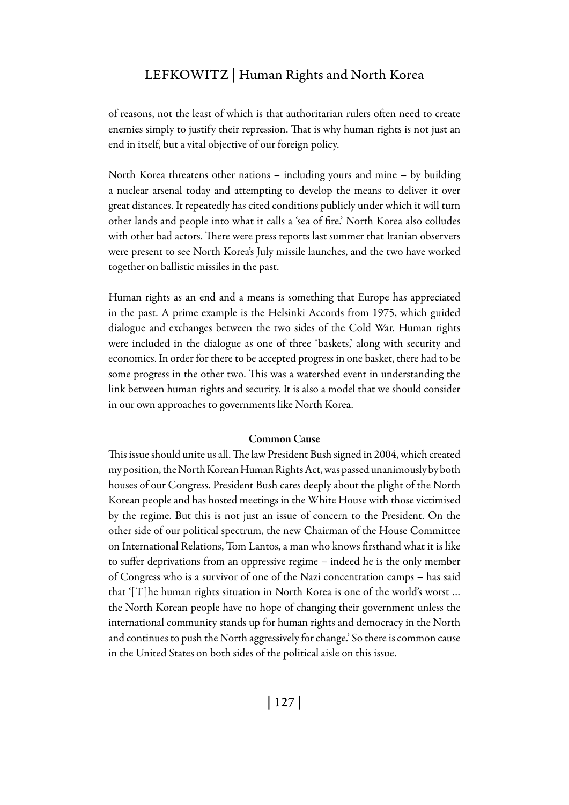## Lefkowitz | Human Rights and North Korea

of reasons, not the least of which is that authoritarian rulers often need to create enemies simply to justify their repression. That is why human rights is not just an end in itself, but a vital objective of our foreign policy.

North Korea threatens other nations – including yours and mine – by building a nuclear arsenal today and attempting to develop the means to deliver it over great distances. It repeatedly has cited conditions publicly under which it will turn other lands and people into what it calls a 'sea of fire.' North Korea also colludes with other bad actors. There were press reports last summer that Iranian observers were present to see North Korea's July missile launches, and the two have worked together on ballistic missiles in the past.

Human rights as an end and a means is something that Europe has appreciated in the past. A prime example is the Helsinki Accords from 1975, which guided dialogue and exchanges between the two sides of the Cold War. Human rights were included in the dialogue as one of three 'baskets,' along with security and economics. In order for there to be accepted progress in one basket, there had to be some progress in the other two. This was a watershed event in understanding the link between human rights and security. It is also a model that we should consider in our own approaches to governments like North Korea.

#### Common Cause

This issue should unite us all. The law President Bush signed in 2004, which created my position, the North Korean Human Rights Act, was passed unanimously by both houses of our Congress. President Bush cares deeply about the plight of the North Korean people and has hosted meetings in the White House with those victimised by the regime. But this is not just an issue of concern to the President. On the other side of our political spectrum, the new Chairman of the House Committee on International Relations, Tom Lantos, a man who knows firsthand what it is like to suffer deprivations from an oppressive regime – indeed he is the only member of Congress who is a survivor of one of the Nazi concentration camps – has said that '[T]he human rights situation in North Korea is one of the world's worst … the North Korean people have no hope of changing their government unless the international community stands up for human rights and democracy in the North and continues to push the North aggressively for change.' So there is common cause in the United States on both sides of the political aisle on this issue.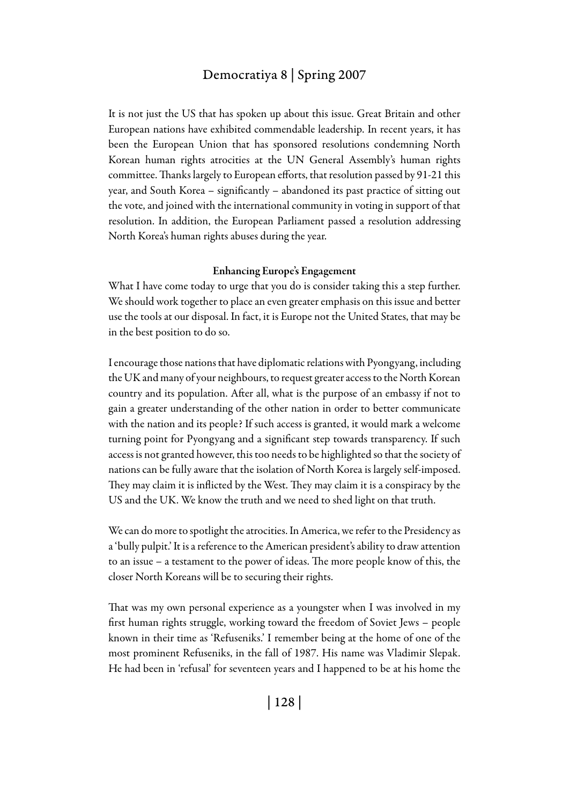## Democratiya 8 | Spring 2007

It is not just the US that has spoken up about this issue. Great Britain and other European nations have exhibited commendable leadership. In recent years, it has been the European Union that has sponsored resolutions condemning North Korean human rights atrocities at the UN General Assembly's human rights committee. Thanks largely to European efforts, that resolution passed by 91-21 this year, and South Korea – significantly – abandoned its past practice of sitting out the vote, and joined with the international community in voting in support of that resolution. In addition, the European Parliament passed a resolution addressing North Korea's human rights abuses during the year.

#### Enhancing Europe's Engagement

What I have come today to urge that you do is consider taking this a step further. We should work together to place an even greater emphasis on this issue and better use the tools at our disposal. In fact, it is Europe not the United States, that may be in the best position to do so.

I encourage those nations that have diplomatic relations with Pyongyang, including the UK and many of your neighbours, to request greater access to the North Korean country and its population. After all, what is the purpose of an embassy if not to gain a greater understanding of the other nation in order to better communicate with the nation and its people? If such access is granted, it would mark a welcome turning point for Pyongyang and a significant step towards transparency. If such access is not granted however, this too needs to be highlighted so that the society of nations can be fully aware that the isolation of North Korea is largely self-imposed. They may claim it is inflicted by the West. They may claim it is a conspiracy by the US and the UK. We know the truth and we need to shed light on that truth.

We can do more to spotlight the atrocities. In America, we refer to the Presidency as a 'bully pulpit.' It is a reference to the American president's ability to draw attention to an issue – a testament to the power of ideas. The more people know of this, the closer North Koreans will be to securing their rights.

That was my own personal experience as a youngster when I was involved in my first human rights struggle, working toward the freedom of Soviet Jews – people known in their time as 'Refuseniks.' I remember being at the home of one of the most prominent Refuseniks, in the fall of 1987. His name was Vladimir Slepak. He had been in 'refusal' for seventeen years and I happened to be at his home the

| 128 |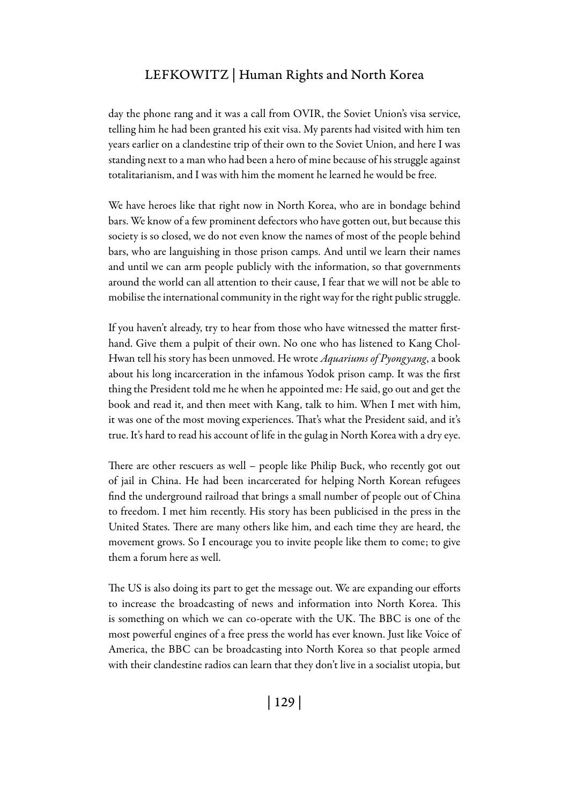## Lefkowitz | Human Rights and North Korea

day the phone rang and it was a call from OVIR, the Soviet Union's visa service, telling him he had been granted his exit visa. My parents had visited with him ten years earlier on a clandestine trip of their own to the Soviet Union, and here I was standing next to a man who had been a hero of mine because of his struggle against totalitarianism, and I was with him the moment he learned he would be free.

We have heroes like that right now in North Korea, who are in bondage behind bars. We know of a few prominent defectors who have gotten out, but because this society is so closed, we do not even know the names of most of the people behind bars, who are languishing in those prison camps. And until we learn their names and until we can arm people publicly with the information, so that governments around the world can all attention to their cause, I fear that we will not be able to mobilise the international community in the right way for the right public struggle.

If you haven't already, try to hear from those who have witnessed the matter firsthand. Give them a pulpit of their own. No one who has listened to Kang Chol-Hwan tell his story has been unmoved. He wrote *Aquariums of Pyongyang*, a book about his long incarceration in the infamous Yodok prison camp. It was the first thing the President told me he when he appointed me: He said, go out and get the book and read it, and then meet with Kang, talk to him. When I met with him, it was one of the most moving experiences. That's what the President said, and it's true. It's hard to read his account of life in the gulag in North Korea with a dry eye.

There are other rescuers as well – people like Philip Buck, who recently got out of jail in China. He had been incarcerated for helping North Korean refugees find the underground railroad that brings a small number of people out of China to freedom. I met him recently. His story has been publicised in the press in the United States. There are many others like him, and each time they are heard, the movement grows. So I encourage you to invite people like them to come; to give them a forum here as well.

The US is also doing its part to get the message out. We are expanding our efforts to increase the broadcasting of news and information into North Korea. This is something on which we can co-operate with the UK. The BBC is one of the most powerful engines of a free press the world has ever known. Just like Voice of America, the BBC can be broadcasting into North Korea so that people armed with their clandestine radios can learn that they don't live in a socialist utopia, but

| 129 |